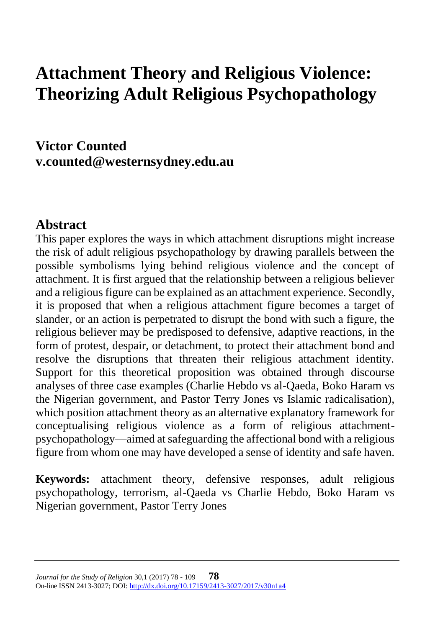# **Attachment Theory and Religious Violence: Theorizing Adult Religious Psychopathology**

# **Victor Counted [v.counted@westernsydney.edu.au](mailto:v.counted@westernsydney.edu.au)**

## **Abstract**

This paper explores the ways in which attachment disruptions might increase the risk of adult religious psychopathology by drawing parallels between the possible symbolisms lying behind religious violence and the concept of attachment. It is first argued that the relationship between a religious believer and a religious figure can be explained as an attachment experience. Secondly, it is proposed that when a religious attachment figure becomes a target of slander, or an action is perpetrated to disrupt the bond with such a figure, the religious believer may be predisposed to defensive, adaptive reactions, in the form of protest, despair, or detachment, to protect their attachment bond and resolve the disruptions that threaten their religious attachment identity. Support for this theoretical proposition was obtained through discourse analyses of three case examples (Charlie Hebdo vs al-Qaeda, Boko Haram vs the Nigerian government, and Pastor Terry Jones vs Islamic radicalisation), which position attachment theory as an alternative explanatory framework for conceptualising religious violence as a form of religious attachmentpsychopathology—aimed at safeguarding the affectional bond with a religious figure from whom one may have developed a sense of identity and safe haven.

**Keywords:** attachment theory, defensive responses, adult religious psychopathology, terrorism, al-Qaeda vs Charlie Hebdo, Boko Haram vs Nigerian government, Pastor Terry Jones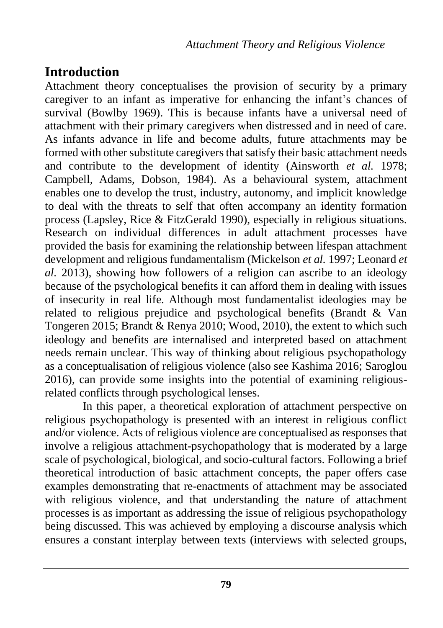# **Introduction**

Attachment theory conceptualises the provision of security by a primary caregiver to an infant as imperative for enhancing the infant's chances of survival (Bowlby 1969). This is because infants have a universal need of attachment with their primary caregivers when distressed and in need of care. As infants advance in life and become adults, future attachments may be formed with other substitute caregivers that satisfy their basic attachment needs and contribute to the development of identity (Ainsworth *et al.* 1978; Campbell, Adams, Dobson, 1984). As a behavioural system, attachment enables one to develop the trust, industry, autonomy, and implicit knowledge to deal with the threats to self that often accompany an identity formation process (Lapsley, Rice & FitzGerald 1990), especially in religious situations. Research on individual differences in adult attachment processes have provided the basis for examining the relationship between lifespan attachment development and religious fundamentalism (Mickelson *et al.* 1997; Leonard *et al.* 2013), showing how followers of a religion can ascribe to an ideology because of the psychological benefits it can afford them in dealing with issues of insecurity in real life. Although most fundamentalist ideologies may be related to religious prejudice and psychological benefits (Brandt & Van Tongeren 2015; Brandt & Renya 2010; Wood, 2010), the extent to which such ideology and benefits are internalised and interpreted based on attachment needs remain unclear. This way of thinking about religious psychopathology as a conceptualisation of religious violence (also see Kashima 2016; Saroglou 2016), can provide some insights into the potential of examining religiousrelated conflicts through psychological lenses.

In this paper, a theoretical exploration of attachment perspective on religious psychopathology is presented with an interest in religious conflict and/or violence. Acts of religious violence are conceptualised as responses that involve a religious attachment-psychopathology that is moderated by a large scale of psychological, biological, and socio-cultural factors. Following a brief theoretical introduction of basic attachment concepts, the paper offers case examples demonstrating that re-enactments of attachment may be associated with religious violence, and that understanding the nature of attachment processes is as important as addressing the issue of religious psychopathology being discussed. This was achieved by employing a discourse analysis which ensures a constant interplay between texts (interviews with selected groups,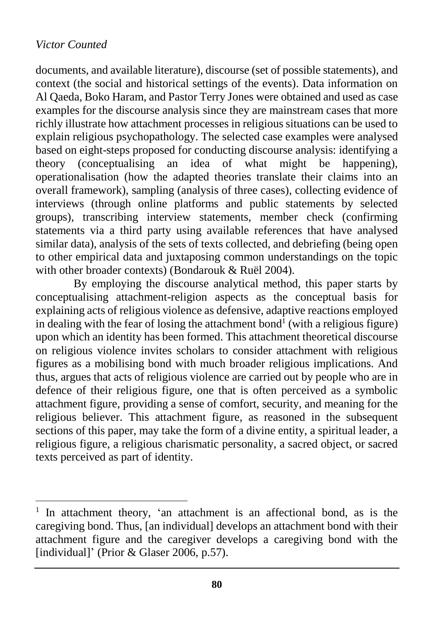$\overline{a}$ 

documents, and available literature), discourse (set of possible statements), and context (the social and historical settings of the events). Data information on Al Qaeda, Boko Haram, and Pastor Terry Jones were obtained and used as case examples for the discourse analysis since they are mainstream cases that more richly illustrate how attachment processes in religious situations can be used to explain religious psychopathology. The selected case examples were analysed based on eight-steps proposed for conducting discourse analysis: identifying a theory (conceptualising an idea of what might be happening), operationalisation (how the adapted theories translate their claims into an overall framework), sampling (analysis of three cases), collecting evidence of interviews (through online platforms and public statements by selected groups), transcribing interview statements, member check (confirming statements via a third party using available references that have analysed similar data), analysis of the sets of texts collected, and debriefing (being open to other empirical data and juxtaposing common understandings on the topic with other broader contexts) (Bondarouk & Ruël 2004).

By employing the discourse analytical method, this paper starts by conceptualising attachment-religion aspects as the conceptual basis for explaining acts of religious violence as defensive, adaptive reactions employed in dealing with the fear of losing the attachment bond<sup>1</sup> (with a religious figure) upon which an identity has been formed. This attachment theoretical discourse on religious violence invites scholars to consider attachment with religious figures as a mobilising bond with much broader religious implications. And thus, argues that acts of religious violence are carried out by people who are in defence of their religious figure, one that is often perceived as a symbolic attachment figure, providing a sense of comfort, security, and meaning for the religious believer. This attachment figure, as reasoned in the subsequent sections of this paper, may take the form of a divine entity, a spiritual leader, a religious figure, a religious charismatic personality, a sacred object, or sacred texts perceived as part of identity.

<sup>&</sup>lt;sup>1</sup> In attachment theory, 'an attachment is an affectional bond, as is the caregiving bond. Thus, [an individual] develops an attachment bond with their attachment figure and the caregiver develops a caregiving bond with the [individual]' (Prior & Glaser 2006, p.57).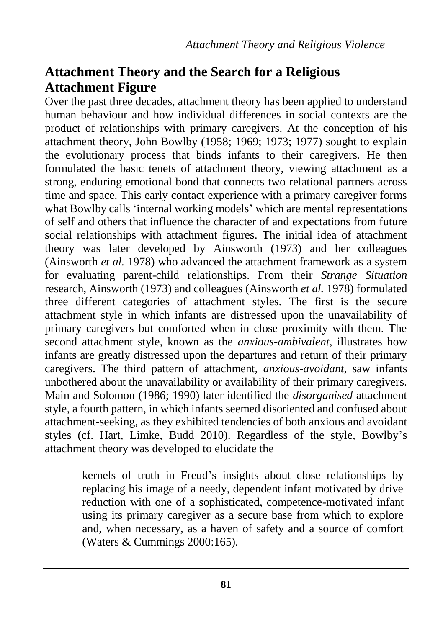# **Attachment Theory and the Search for a Religious Attachment Figure**

Over the past three decades, attachment theory has been applied to understand human behaviour and how individual differences in social contexts are the product of relationships with primary caregivers. At the conception of his attachment theory, John Bowlby (1958; 1969; 1973; 1977) sought to explain the evolutionary process that binds infants to their caregivers. He then formulated the basic tenets of attachment theory, viewing attachment as a strong, enduring emotional bond that connects two relational partners across time and space. This early contact experience with a primary caregiver forms what Bowlby calls 'internal working models' which are mental representations of self and others that influence the character of and expectations from future social relationships with attachment figures. The initial idea of attachment theory was later developed by Ainsworth (1973) and her colleagues (Ainsworth *et al.* 1978) who advanced the attachment framework as a system for evaluating parent-child relationships. From their *Strange Situation* research, Ainsworth (1973) and colleagues (Ainsworth *et al.* 1978) formulated three different categories of attachment styles. The first is the secure attachment style in which infants are distressed upon the unavailability of primary caregivers but comforted when in close proximity with them. The second attachment style, known as the *anxious-ambivalent*, illustrates how infants are greatly distressed upon the departures and return of their primary caregivers. The third pattern of attachment, *anxious-avoidant*, saw infants unbothered about the unavailability or availability of their primary caregivers. Main and Solomon (1986; 1990) later identified the *disorganised* attachment style, a fourth pattern, in which infants seemed disoriented and confused about attachment-seeking, as they exhibited tendencies of both anxious and avoidant styles (cf. Hart, Limke, Budd 2010). Regardless of the style, Bowlby's attachment theory was developed to elucidate the

> kernels of truth in Freud's insights about close relationships by replacing his image of a needy, dependent infant motivated by drive reduction with one of a sophisticated, competence-motivated infant using its primary caregiver as a secure base from which to explore and, when necessary, as a haven of safety and a source of comfort (Waters & Cummings 2000:165).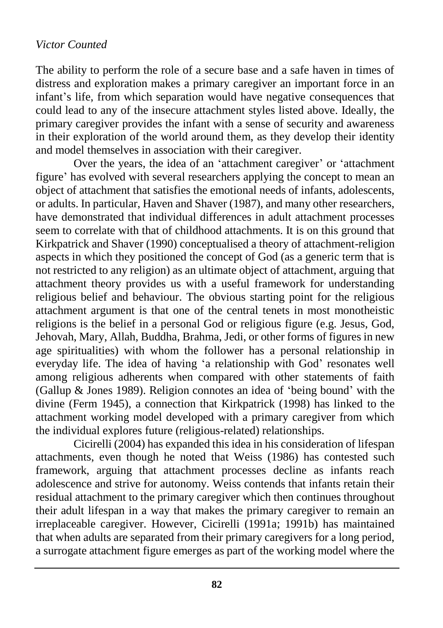The ability to perform the role of a secure base and a safe haven in times of distress and exploration makes a primary caregiver an important force in an infant's life, from which separation would have negative consequences that could lead to any of the insecure attachment styles listed above. Ideally, the primary caregiver provides the infant with a sense of security and awareness in their exploration of the world around them, as they develop their identity and model themselves in association with their caregiver.

Over the years, the idea of an 'attachment caregiver' or 'attachment figure' has evolved with several researchers applying the concept to mean an object of attachment that satisfies the emotional needs of infants, adolescents, or adults. In particular, Haven and Shaver (1987), and many other researchers, have demonstrated that individual differences in adult attachment processes seem to correlate with that of childhood attachments. It is on this ground that Kirkpatrick and Shaver (1990) conceptualised a theory of attachment-religion aspects in which they positioned the concept of God (as a generic term that is not restricted to any religion) as an ultimate object of attachment, arguing that attachment theory provides us with a useful framework for understanding religious belief and behaviour. The obvious starting point for the religious attachment argument is that one of the central tenets in most monotheistic religions is the belief in a personal God or religious figure (e.g. Jesus, God, Jehovah, Mary, Allah, Buddha, Brahma, Jedi, or other forms of figures in new age spiritualities) with whom the follower has a personal relationship in everyday life. The idea of having 'a relationship with God' resonates well among religious adherents when compared with other statements of faith (Gallup & Jones 1989). Religion connotes an idea of 'being bound' with the divine (Ferm 1945), a connection that Kirkpatrick (1998) has linked to the attachment working model developed with a primary caregiver from which the individual explores future (religious-related) relationships.

Cicirelli (2004) has expanded this idea in his consideration of lifespan attachments, even though he noted that Weiss (1986) has contested such framework, arguing that attachment processes decline as infants reach adolescence and strive for autonomy. Weiss contends that infants retain their residual attachment to the primary caregiver which then continues throughout their adult lifespan in a way that makes the primary caregiver to remain an irreplaceable caregiver. However, Cicirelli (1991a; 1991b) has maintained that when adults are separated from their primary caregivers for a long period, a surrogate attachment figure emerges as part of the working model where the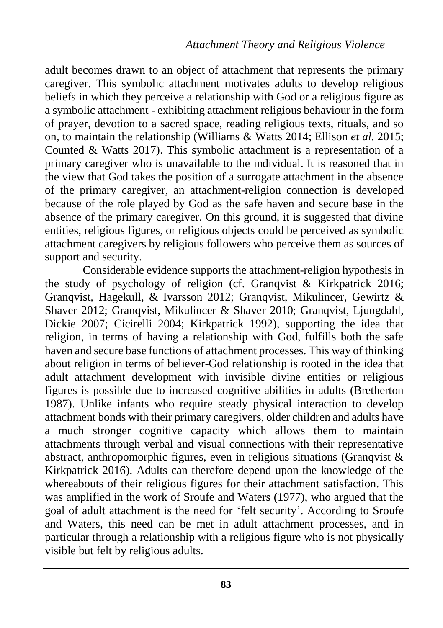adult becomes drawn to an object of attachment that represents the primary caregiver. This symbolic attachment motivates adults to develop religious beliefs in which they perceive a relationship with God or a religious figure as a symbolic attachment - exhibiting attachment religious behaviour in the form of prayer, devotion to a sacred space, reading religious texts, rituals, and so on, to maintain the relationship (Williams & Watts 2014; Ellison *et al.* 2015; Counted & Watts 2017). This symbolic attachment is a representation of a primary caregiver who is unavailable to the individual. It is reasoned that in the view that God takes the position of a surrogate attachment in the absence of the primary caregiver, an attachment-religion connection is developed because of the role played by God as the safe haven and secure base in the absence of the primary caregiver. On this ground, it is suggested that divine entities, religious figures, or religious objects could be perceived as symbolic attachment caregivers by religious followers who perceive them as sources of support and security.

Considerable evidence supports the attachment-religion hypothesis in the study of psychology of religion (cf. Granqvist & Kirkpatrick 2016; Granqvist, Hagekull, & Ivarsson 2012; Granqvist, Mikulincer, Gewirtz & Shaver 2012; Granqvist, Mikulincer & Shaver 2010; Granqvist, Ljungdahl, Dickie 2007; Cicirelli 2004; Kirkpatrick 1992), supporting the idea that religion, in terms of having a relationship with God, fulfills both the safe haven and secure base functions of attachment processes. This way of thinking about religion in terms of believer-God relationship is rooted in the idea that adult attachment development with invisible divine entities or religious figures is possible due to increased cognitive abilities in adults (Bretherton 1987). Unlike infants who require steady physical interaction to develop attachment bonds with their primary caregivers, older children and adults have a much stronger cognitive capacity which allows them to maintain attachments through verbal and visual connections with their representative abstract, anthropomorphic figures, even in religious situations (Granqvist & Kirkpatrick 2016). Adults can therefore depend upon the knowledge of the whereabouts of their religious figures for their attachment satisfaction. This was amplified in the work of Sroufe and Waters (1977), who argued that the goal of adult attachment is the need for 'felt security'. According to Sroufe and Waters, this need can be met in adult attachment processes, and in particular through a relationship with a religious figure who is not physically visible but felt by religious adults.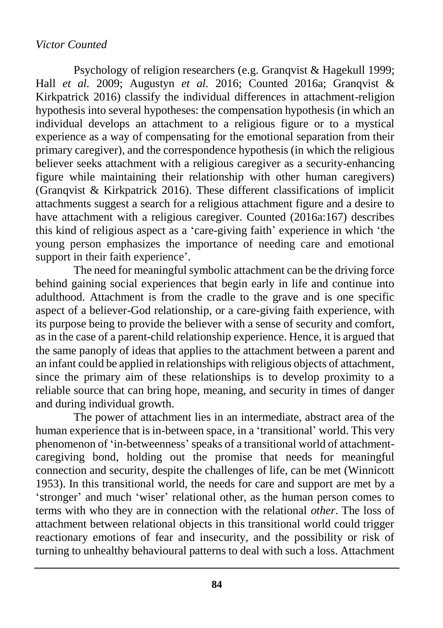Psychology of religion researchers (e.g. Granqvist & Hagekull 1999; Hall *et al.* 2009; Augustyn *et al.* 2016; Counted 2016a; Granqvist & Kirkpatrick 2016) classify the individual differences in attachment-religion hypothesis into several hypotheses: the compensation hypothesis (in which an individual develops an attachment to a religious figure or to a mystical experience as a way of compensating for the emotional separation from their primary caregiver), and the correspondence hypothesis (in which the religious believer seeks attachment with a religious caregiver as a security-enhancing figure while maintaining their relationship with other human caregivers) (Granqvist & Kirkpatrick 2016). These different classifications of implicit attachments suggest a search for a religious attachment figure and a desire to have attachment with a religious caregiver. Counted (2016a:167) describes this kind of religious aspect as a 'care-giving faith' experience in which 'the young person emphasizes the importance of needing care and emotional support in their faith experience'.

The need for meaningful symbolic attachment can be the driving force behind gaining social experiences that begin early in life and continue into adulthood. Attachment is from the cradle to the grave and is one specific aspect of a believer-God relationship, or a care-giving faith experience, with its purpose being to provide the believer with a sense of security and comfort, as in the case of a parent-child relationship experience. Hence, it is argued that the same panoply of ideas that applies to the attachment between a parent and an infant could be applied in relationships with religious objects of attachment, since the primary aim of these relationships is to develop proximity to a reliable source that can bring hope, meaning, and security in times of danger and during individual growth.

The power of attachment lies in an intermediate, abstract area of the human experience that is in-between space, in a 'transitional' world. This very phenomenon of 'in-betweenness' speaks of a transitional world of attachmentcaregiving bond, holding out the promise that needs for meaningful connection and security, despite the challenges of life, can be met (Winnicott 1953). In this transitional world, the needs for care and support are met by a 'stronger' and much 'wiser' relational other, as the human person comes to terms with who they are in connection with the relational *other*. The loss of attachment between relational objects in this transitional world could trigger reactionary emotions of fear and insecurity, and the possibility or risk of turning to unhealthy behavioural patterns to deal with such a loss. Attachment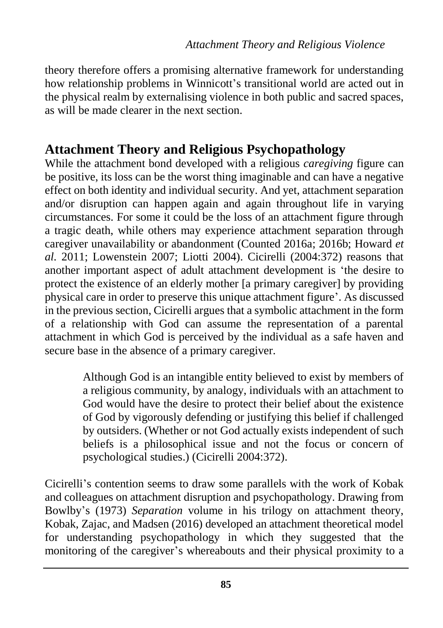theory therefore offers a promising alternative framework for understanding how relationship problems in Winnicott's transitional world are acted out in the physical realm by externalising violence in both public and sacred spaces, as will be made clearer in the next section.

# **Attachment Theory and Religious Psychopathology**

While the attachment bond developed with a religious *caregiving* figure can be positive, its loss can be the worst thing imaginable and can have a negative effect on both identity and individual security. And yet, attachment separation and/or disruption can happen again and again throughout life in varying circumstances. For some it could be the loss of an attachment figure through a tragic death, while others may experience attachment separation through caregiver unavailability or abandonment (Counted 2016a; 2016b; Howard *et al.* 2011; Lowenstein 2007; Liotti 2004). Cicirelli (2004:372) reasons that another important aspect of adult attachment development is 'the desire to protect the existence of an elderly mother [a primary caregiver] by providing physical care in order to preserve this unique attachment figure'. As discussed in the previous section, Cicirelli argues that a symbolic attachment in the form of a relationship with God can assume the representation of a parental attachment in which God is perceived by the individual as a safe haven and secure base in the absence of a primary caregiver.

> Although God is an intangible entity believed to exist by members of a religious community, by analogy, individuals with an attachment to God would have the desire to protect their belief about the existence of God by vigorously defending or justifying this belief if challenged by outsiders. (Whether or not God actually exists independent of such beliefs is a philosophical issue and not the focus or concern of psychological studies.) (Cicirelli 2004:372).

Cicirelli's contention seems to draw some parallels with the work of Kobak and colleagues on attachment disruption and psychopathology. Drawing from Bowlby's (1973) *Separation* volume in his trilogy on attachment theory, Kobak, Zajac, and Madsen (2016) developed an attachment theoretical model for understanding psychopathology in which they suggested that the monitoring of the caregiver's whereabouts and their physical proximity to a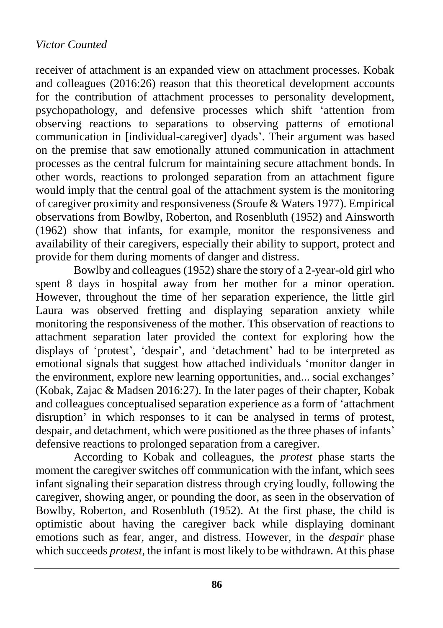receiver of attachment is an expanded view on attachment processes. Kobak and colleagues (2016:26) reason that this theoretical development accounts for the contribution of attachment processes to personality development, psychopathology, and defensive processes which shift 'attention from observing reactions to separations to observing patterns of emotional communication in [individual-caregiver] dyads'. Their argument was based on the premise that saw emotionally attuned communication in attachment processes as the central fulcrum for maintaining secure attachment bonds. In other words, reactions to prolonged separation from an attachment figure would imply that the central goal of the attachment system is the monitoring of caregiver proximity and responsiveness (Sroufe & Waters 1977). Empirical observations from Bowlby, Roberton, and Rosenbluth (1952) and Ainsworth (1962) show that infants, for example, monitor the responsiveness and availability of their caregivers, especially their ability to support, protect and provide for them during moments of danger and distress.

Bowlby and colleagues (1952) share the story of a 2-year-old girl who spent 8 days in hospital away from her mother for a minor operation. However, throughout the time of her separation experience, the little girl Laura was observed fretting and displaying separation anxiety while monitoring the responsiveness of the mother. This observation of reactions to attachment separation later provided the context for exploring how the displays of 'protest', 'despair', and 'detachment' had to be interpreted as emotional signals that suggest how attached individuals 'monitor danger in the environment, explore new learning opportunities, and... social exchanges' (Kobak, Zajac & Madsen 2016:27). In the later pages of their chapter, Kobak and colleagues conceptualised separation experience as a form of 'attachment disruption' in which responses to it can be analysed in terms of protest, despair, and detachment, which were positioned as the three phases of infants' defensive reactions to prolonged separation from a caregiver.

According to Kobak and colleagues, the *protest* phase starts the moment the caregiver switches off communication with the infant, which sees infant signaling their separation distress through crying loudly, following the caregiver, showing anger, or pounding the door, as seen in the observation of Bowlby, Roberton, and Rosenbluth (1952). At the first phase, the child is optimistic about having the caregiver back while displaying dominant emotions such as fear, anger, and distress. However, in the *despair* phase which succeeds *protest*, the infant is most likely to be withdrawn. At this phase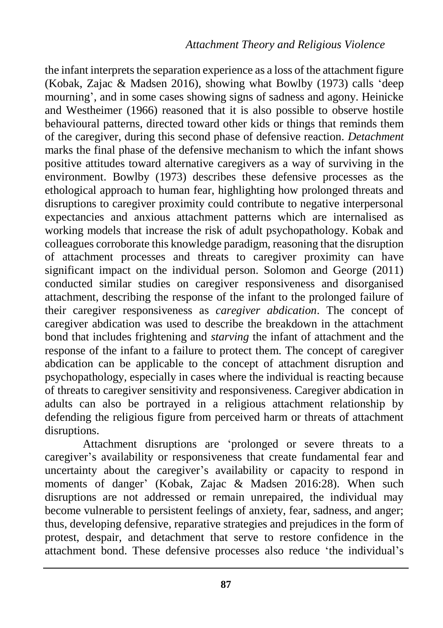the infant interprets the separation experience as a loss of the attachment figure (Kobak, Zajac & Madsen 2016), showing what Bowlby (1973) calls 'deep mourning', and in some cases showing signs of sadness and agony. Heinicke and Westheimer (1966) reasoned that it is also possible to observe hostile behavioural patterns, directed toward other kids or things that reminds them of the caregiver, during this second phase of defensive reaction. *Detachment* marks the final phase of the defensive mechanism to which the infant shows positive attitudes toward alternative caregivers as a way of surviving in the environment. Bowlby (1973) describes these defensive processes as the ethological approach to human fear, highlighting how prolonged threats and disruptions to caregiver proximity could contribute to negative interpersonal expectancies and anxious attachment patterns which are internalised as working models that increase the risk of adult psychopathology. Kobak and colleagues corroborate this knowledge paradigm, reasoning that the disruption of attachment processes and threats to caregiver proximity can have significant impact on the individual person. Solomon and George (2011) conducted similar studies on caregiver responsiveness and disorganised attachment, describing the response of the infant to the prolonged failure of their caregiver responsiveness as *caregiver abdication*. The concept of caregiver abdication was used to describe the breakdown in the attachment bond that includes frightening and *starving* the infant of attachment and the response of the infant to a failure to protect them. The concept of caregiver abdication can be applicable to the concept of attachment disruption and psychopathology, especially in cases where the individual is reacting because of threats to caregiver sensitivity and responsiveness. Caregiver abdication in adults can also be portrayed in a religious attachment relationship by defending the religious figure from perceived harm or threats of attachment disruptions.

Attachment disruptions are 'prolonged or severe threats to a caregiver's availability or responsiveness that create fundamental fear and uncertainty about the caregiver's availability or capacity to respond in moments of danger' (Kobak, Zajac & Madsen 2016:28). When such disruptions are not addressed or remain unrepaired, the individual may become vulnerable to persistent feelings of anxiety, fear, sadness, and anger; thus, developing defensive, reparative strategies and prejudices in the form of protest, despair, and detachment that serve to restore confidence in the attachment bond. These defensive processes also reduce 'the individual's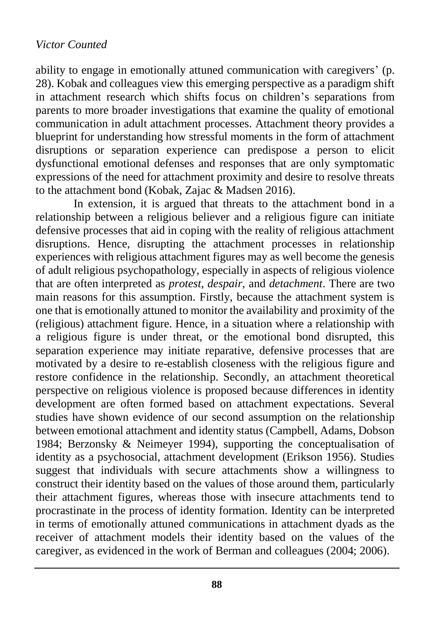ability to engage in emotionally attuned communication with caregivers' (p. 28). Kobak and colleagues view this emerging perspective as a paradigm shift in attachment research which shifts focus on children's separations from parents to more broader investigations that examine the quality of emotional communication in adult attachment processes. Attachment theory provides a blueprint for understanding how stressful moments in the form of attachment disruptions or separation experience can predispose a person to elicit dysfunctional emotional defenses and responses that are only symptomatic expressions of the need for attachment proximity and desire to resolve threats to the attachment bond (Kobak, Zajac & Madsen 2016).

In extension, it is argued that threats to the attachment bond in a relationship between a religious believer and a religious figure can initiate defensive processes that aid in coping with the reality of religious attachment disruptions. Hence, disrupting the attachment processes in relationship experiences with religious attachment figures may as well become the genesis of adult religious psychopathology, especially in aspects of religious violence that are often interpreted as *protest, despair,* and *detachment*. There are two main reasons for this assumption. Firstly, because the attachment system is one that is emotionally attuned to monitor the availability and proximity of the (religious) attachment figure. Hence, in a situation where a relationship with a religious figure is under threat, or the emotional bond disrupted, this separation experience may initiate reparative, defensive processes that are motivated by a desire to re-establish closeness with the religious figure and restore confidence in the relationship. Secondly, an attachment theoretical perspective on religious violence is proposed because differences in identity development are often formed based on attachment expectations. Several studies have shown evidence of our second assumption on the relationship between emotional attachment and identity status (Campbell, Adams, Dobson 1984; Berzonsky & Neimeyer 1994), supporting the conceptualisation of identity as a psychosocial, attachment development (Erikson 1956). Studies suggest that individuals with secure attachments show a willingness to construct their identity based on the values of those around them, particularly their attachment figures, whereas those with insecure attachments tend to procrastinate in the process of identity formation. Identity can be interpreted in terms of emotionally attuned communications in attachment dyads as the receiver of attachment models their identity based on the values of the caregiver, as evidenced in the work of Berman and colleagues (2004; 2006).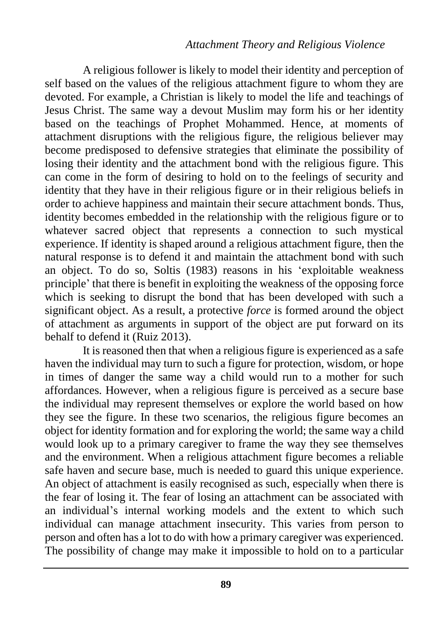A religious follower is likely to model their identity and perception of self based on the values of the religious attachment figure to whom they are devoted. For example, a Christian is likely to model the life and teachings of Jesus Christ. The same way a devout Muslim may form his or her identity based on the teachings of Prophet Mohammed. Hence, at moments of attachment disruptions with the religious figure, the religious believer may become predisposed to defensive strategies that eliminate the possibility of losing their identity and the attachment bond with the religious figure. This can come in the form of desiring to hold on to the feelings of security and identity that they have in their religious figure or in their religious beliefs in order to achieve happiness and maintain their secure attachment bonds. Thus, identity becomes embedded in the relationship with the religious figure or to whatever sacred object that represents a connection to such mystical experience. If identity is shaped around a religious attachment figure, then the natural response is to defend it and maintain the attachment bond with such an object. To do so, Soltis (1983) reasons in his 'exploitable weakness principle' that there is benefit in exploiting the weakness of the opposing force which is seeking to disrupt the bond that has been developed with such a significant object. As a result, a protective *force* is formed around the object of attachment as arguments in support of the object are put forward on its behalf to defend it (Ruiz 2013).

It is reasoned then that when a religious figure is experienced as a safe haven the individual may turn to such a figure for protection, wisdom, or hope in times of danger the same way a child would run to a mother for such affordances. However, when a religious figure is perceived as a secure base the individual may represent themselves or explore the world based on how they see the figure. In these two scenarios, the religious figure becomes an object for identity formation and for exploring the world; the same way a child would look up to a primary caregiver to frame the way they see themselves and the environment. When a religious attachment figure becomes a reliable safe haven and secure base, much is needed to guard this unique experience. An object of attachment is easily recognised as such, especially when there is the fear of losing it. The fear of losing an attachment can be associated with an individual's internal working models and the extent to which such individual can manage attachment insecurity. This varies from person to person and often has a lot to do with how a primary caregiver was experienced. The possibility of change may make it impossible to hold on to a particular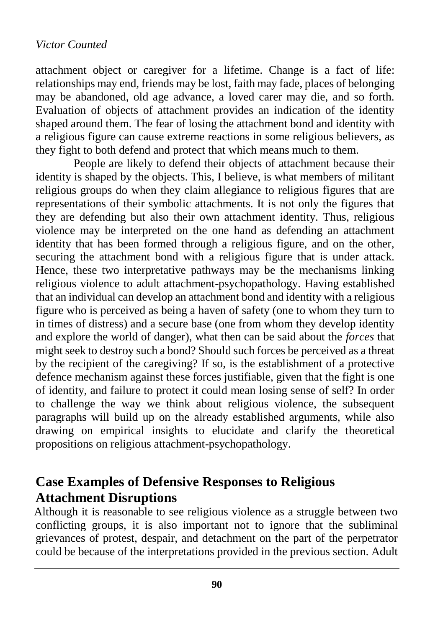attachment object or caregiver for a lifetime. Change is a fact of life: relationships may end, friends may be lost, faith may fade, places of belonging may be abandoned, old age advance, a loved carer may die, and so forth. Evaluation of objects of attachment provides an indication of the identity shaped around them. The fear of losing the attachment bond and identity with a religious figure can cause extreme reactions in some religious believers, as they fight to both defend and protect that which means much to them.

People are likely to defend their objects of attachment because their identity is shaped by the objects. This, I believe, is what members of militant religious groups do when they claim allegiance to religious figures that are representations of their symbolic attachments. It is not only the figures that they are defending but also their own attachment identity. Thus, religious violence may be interpreted on the one hand as defending an attachment identity that has been formed through a religious figure, and on the other, securing the attachment bond with a religious figure that is under attack. Hence, these two interpretative pathways may be the mechanisms linking religious violence to adult attachment-psychopathology. Having established that an individual can develop an attachment bond and identity with a religious figure who is perceived as being a haven of safety (one to whom they turn to in times of distress) and a secure base (one from whom they develop identity and explore the world of danger), what then can be said about the *forces* that might seek to destroy such a bond? Should such forces be perceived as a threat by the recipient of the caregiving? If so, is the establishment of a protective defence mechanism against these forces justifiable, given that the fight is one of identity, and failure to protect it could mean losing sense of self? In order to challenge the way we think about religious violence, the subsequent paragraphs will build up on the already established arguments, while also drawing on empirical insights to elucidate and clarify the theoretical propositions on religious attachment-psychopathology.

## **Case Examples of Defensive Responses to Religious Attachment Disruptions**

Although it is reasonable to see religious violence as a struggle between two conflicting groups, it is also important not to ignore that the subliminal grievances of protest, despair, and detachment on the part of the perpetrator could be because of the interpretations provided in the previous section. Adult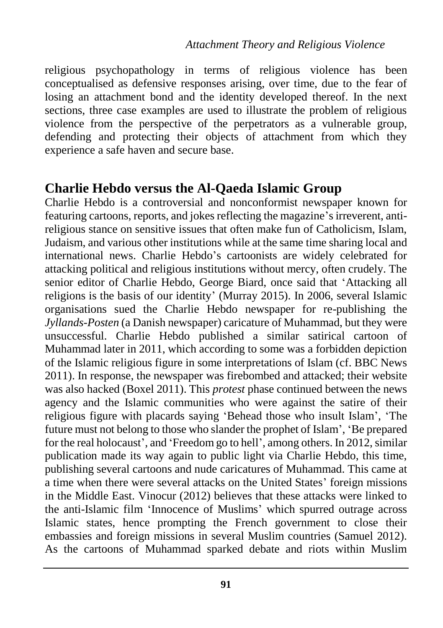religious psychopathology in terms of religious violence has been conceptualised as defensive responses arising, over time, due to the fear of losing an attachment bond and the identity developed thereof. In the next sections, three case examples are used to illustrate the problem of religious violence from the perspective of the perpetrators as a vulnerable group, defending and protecting their objects of attachment from which they experience a safe haven and secure base.

## **Charlie Hebdo versus the Al-Qaeda Islamic Group**

Charlie Hebdo is a controversial and nonconformist newspaper known for featuring cartoons, reports, and jokes reflecting the magazine's irreverent, antireligious stance on sensitive issues that often make fun of Catholicism, Islam, Judaism, and various other institutions while at the same time sharing local and international news. Charlie Hebdo's cartoonists are widely celebrated for attacking political and religious institutions without mercy, often crudely. The senior editor of Charlie Hebdo, George Biard, once said that 'Attacking all religions is the basis of our identity' (Murray 2015). In 2006, several Islamic organisations sued the Charlie Hebdo newspaper for re-publishing the *Jyllands-Posten* (a Danish newspaper) caricature of Muhammad, but they were unsuccessful. Charlie Hebdo published a similar satirical cartoon of Muhammad later in 2011, which according to some was a forbidden depiction of the Islamic religious figure in some interpretations of Islam (cf. BBC News 2011). In response, the newspaper was firebombed and attacked; their website was also hacked (Boxel 2011). This *protest* phase continued between the news agency and the Islamic communities who were against the satire of their religious figure with placards saying 'Behead those who insult Islam', 'The future must not belong to those who slander the prophet of Islam', 'Be prepared for the real holocaust', and 'Freedom go to hell', among others. In 2012, similar publication made its way again to public light via Charlie Hebdo, this time, publishing several cartoons and nude caricatures of Muhammad. This came at a time when there were several attacks on the United States' foreign missions in the Middle East. Vinocur (2012) believes that these attacks were linked to the anti-Islamic film 'Innocence of Muslims' which spurred outrage across Islamic states, hence prompting the French government to close their embassies and foreign missions in several Muslim countries (Samuel 2012). As the cartoons of Muhammad sparked debate and riots within Muslim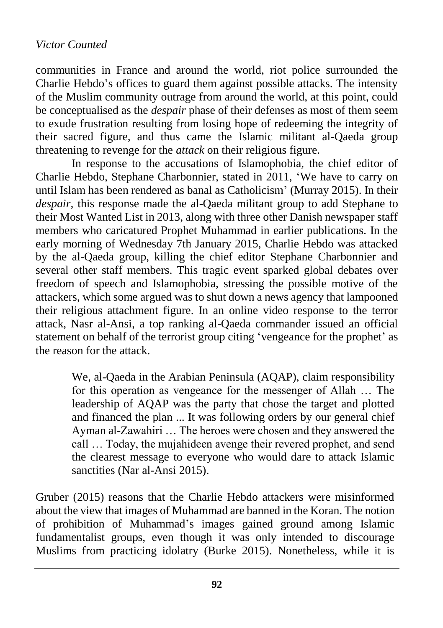communities in France and around the world, riot police surrounded the Charlie Hebdo's offices to guard them against possible attacks. The intensity of the Muslim community outrage from around the world, at this point, could be conceptualised as the *despair* phase of their defenses as most of them seem to exude frustration resulting from losing hope of redeeming the integrity of their sacred figure, and thus came the Islamic militant al-Qaeda group threatening to revenge for the *attack* on their religious figure.

In response to the accusations of Islamophobia, the chief editor of Charlie Hebdo, Stephane Charbonnier, stated in 2011, 'We have to carry on until Islam has been rendered as banal as Catholicism' (Murray 2015). In their *despair,* this response made the al-Qaeda militant group to add Stephane to their Most Wanted List in 2013, along with three other Danish newspaper staff members who caricatured Prophet Muhammad in earlier publications. In the early morning of Wednesday 7th January 2015, Charlie Hebdo was attacked by the al-Qaeda group, killing the chief editor Stephane Charbonnier and several other staff members. This tragic event sparked global debates over freedom of speech and Islamophobia, stressing the possible motive of the attackers, which some argued was to shut down a news agency that lampooned their religious attachment figure. In an online video response to the terror attack, Nasr al-Ansi, a top ranking al-Qaeda commander issued an official statement on behalf of the terrorist group citing 'vengeance for the prophet' as the reason for the attack.

We, al-Qaeda in the Arabian Peninsula (AQAP), claim responsibility for this operation as vengeance for the messenger of Allah … The leadership of AQAP was the party that chose the target and plotted and financed the plan ... It was following orders by our general chief Ayman al-Zawahiri … The heroes were chosen and they answered the call … Today, the mujahideen avenge their revered prophet, and send the clearest message to everyone who would dare to attack Islamic sanctities (Nar al-Ansi 2015).

Gruber (2015) reasons that the Charlie Hebdo attackers were misinformed about the view that images of Muhammad are banned in the Koran. The notion of prohibition of Muhammad's images gained ground among Islamic fundamentalist groups, even though it was only intended to discourage Muslims from practicing idolatry (Burke 2015). Nonetheless, while it is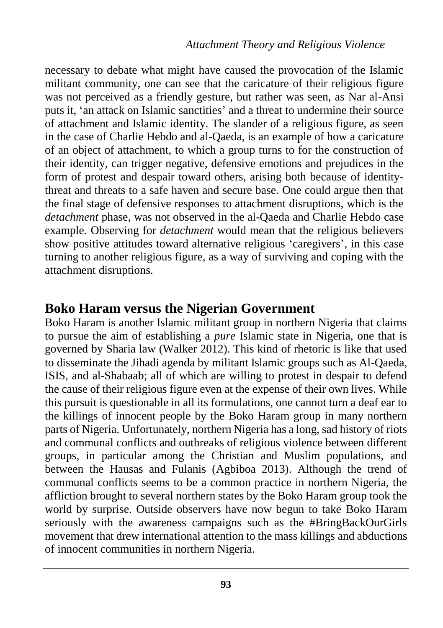necessary to debate what might have caused the provocation of the Islamic militant community, one can see that the caricature of their religious figure was not perceived as a friendly gesture, but rather was seen, as Nar al-Ansi puts it, 'an attack on Islamic sanctities' and a threat to undermine their source of attachment and Islamic identity. The slander of a religious figure, as seen in the case of Charlie Hebdo and al-Qaeda, is an example of how a caricature of an object of attachment, to which a group turns to for the construction of their identity, can trigger negative, defensive emotions and prejudices in the form of protest and despair toward others, arising both because of identitythreat and threats to a safe haven and secure base. One could argue then that the final stage of defensive responses to attachment disruptions, which is the *detachment* phase, was not observed in the al-Qaeda and Charlie Hebdo case example. Observing for *detachment* would mean that the religious believers show positive attitudes toward alternative religious 'caregivers', in this case turning to another religious figure, as a way of surviving and coping with the attachment disruptions.

## **Boko Haram versus the Nigerian Government**

Boko Haram is another Islamic militant group in northern Nigeria that claims to pursue the aim of establishing a *pure* Islamic state in Nigeria, one that is governed by Sharia law (Walker 2012). This kind of rhetoric is like that used to disseminate the Jihadi agenda by militant Islamic groups such as Al-Qaeda, ISIS, and al-Shabaab; all of which are willing to protest in despair to defend the cause of their religious figure even at the expense of their own lives. While this pursuit is questionable in all its formulations, one cannot turn a deaf ear to the killings of innocent people by the Boko Haram group in many northern parts of Nigeria. Unfortunately, northern Nigeria has a long, sad history of riots and communal conflicts and outbreaks of religious violence between different groups, in particular among the Christian and Muslim populations, and between the Hausas and Fulanis (Agbiboa 2013). Although the trend of communal conflicts seems to be a common practice in northern Nigeria, the affliction brought to several northern states by the Boko Haram group took the world by surprise. Outside observers have now begun to take Boko Haram seriously with the awareness campaigns such as the #BringBackOurGirls movement that drew international attention to the mass killings and abductions of innocent communities in northern Nigeria.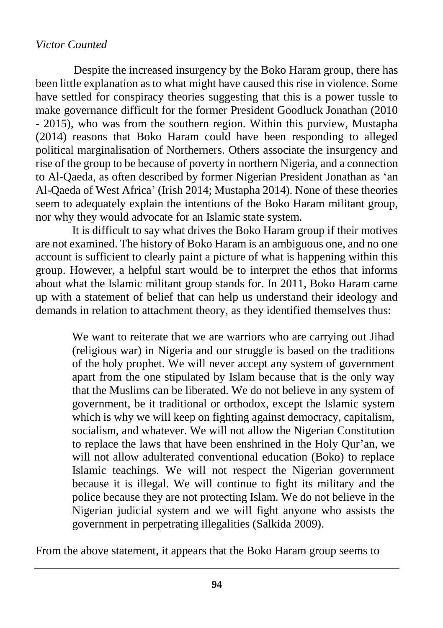Despite the increased insurgency by the Boko Haram group, there has been little explanation as to what might have caused this rise in violence. Some have settled for conspiracy theories suggesting that this is a power tussle to make governance difficult for the former President Goodluck Jonathan (2010 - 2015), who was from the southern region. Within this purview, Mustapha (2014) reasons that Boko Haram could have been responding to alleged political marginalisation of Northerners. Others associate the insurgency and rise of the group to be because of poverty in northern Nigeria, and a connection to Al-Qaeda, as often described by former Nigerian President Jonathan as 'an Al-Qaeda of West Africa' (Irish 2014; Mustapha 2014). None of these theories seem to adequately explain the intentions of the Boko Haram militant group, nor why they would advocate for an Islamic state system.

It is difficult to say what drives the Boko Haram group if their motives are not examined. The history of Boko Haram is an ambiguous one, and no one account is sufficient to clearly paint a picture of what is happening within this group. However, a helpful start would be to interpret the ethos that informs about what the Islamic militant group stands for. In 2011, Boko Haram came up with a statement of belief that can help us understand their ideology and demands in relation to attachment theory, as they identified themselves thus:

We want to reiterate that we are warriors who are carrying out Jihad (religious war) in Nigeria and our struggle is based on the traditions of the holy prophet. We will never accept any system of government apart from the one stipulated by Islam because that is the only way that the Muslims can be liberated. We do not believe in any system of government, be it traditional or orthodox, except the Islamic system which is why we will keep on fighting against democracy, capitalism, socialism, and whatever. We will not allow the Nigerian Constitution to replace the laws that have been enshrined in the Holy Qur'an, we will not allow adulterated conventional education (Boko) to replace Islamic teachings. We will not respect the Nigerian government because it is illegal. We will continue to fight its military and the police because they are not protecting Islam. We do not believe in the Nigerian judicial system and we will fight anyone who assists the government in perpetrating illegalities (Salkida 2009).

From the above statement, it appears that the Boko Haram group seems to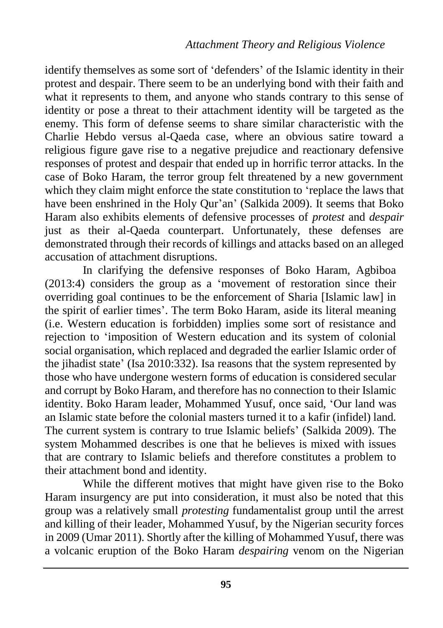identify themselves as some sort of 'defenders' of the Islamic identity in their protest and despair. There seem to be an underlying bond with their faith and what it represents to them, and anyone who stands contrary to this sense of identity or pose a threat to their attachment identity will be targeted as the enemy. This form of defense seems to share similar characteristic with the Charlie Hebdo versus al-Qaeda case, where an obvious satire toward a religious figure gave rise to a negative prejudice and reactionary defensive responses of protest and despair that ended up in horrific terror attacks. In the case of Boko Haram, the terror group felt threatened by a new government which they claim might enforce the state constitution to 'replace the laws that have been enshrined in the Holy Qur'an' (Salkida 2009). It seems that Boko Haram also exhibits elements of defensive processes of *protest* and *despair* just as their al-Qaeda counterpart. Unfortunately, these defenses are demonstrated through their records of killings and attacks based on an alleged accusation of attachment disruptions.

In clarifying the defensive responses of Boko Haram, Agbiboa (2013:4) considers the group as a 'movement of restoration since their overriding goal continues to be the enforcement of Sharia [Islamic law] in the spirit of earlier times'. The term Boko Haram, aside its literal meaning (i.e. Western education is forbidden) implies some sort of resistance and rejection to 'imposition of Western education and its system of colonial social organisation, which replaced and degraded the earlier Islamic order of the jihadist state' (Isa 2010:332). Isa reasons that the system represented by those who have undergone western forms of education is considered secular and corrupt by Boko Haram, and therefore has no connection to their Islamic identity. Boko Haram leader, Mohammed Yusuf, once said, 'Our land was an Islamic state before the colonial masters turned it to a kafir (infidel) land. The current system is contrary to true Islamic beliefs' (Salkida 2009). The system Mohammed describes is one that he believes is mixed with issues that are contrary to Islamic beliefs and therefore constitutes a problem to their attachment bond and identity.

While the different motives that might have given rise to the Boko Haram insurgency are put into consideration, it must also be noted that this group was a relatively small *protesting* fundamentalist group until the arrest and killing of their leader, Mohammed Yusuf, by the Nigerian security forces in 2009 (Umar 2011). Shortly after the killing of Mohammed Yusuf, there was a volcanic eruption of the Boko Haram *despairing* venom on the Nigerian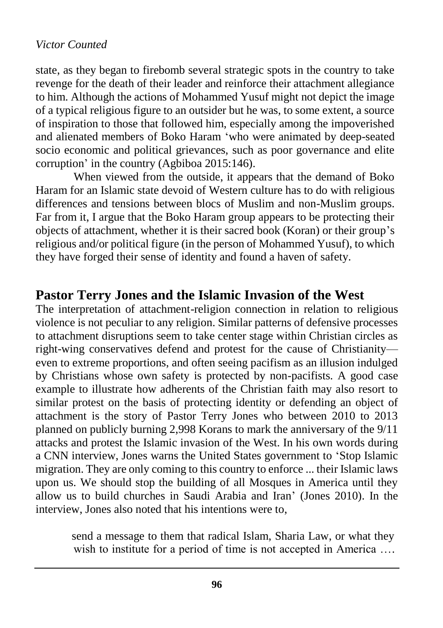state, as they began to firebomb several strategic spots in the country to take revenge for the death of their leader and reinforce their attachment allegiance to him. Although the actions of Mohammed Yusuf might not depict the image of a typical religious figure to an outsider but he was, to some extent, a source of inspiration to those that followed him, especially among the impoverished and alienated members of Boko Haram 'who were animated by deep-seated socio economic and political grievances, such as poor governance and elite corruption' in the country (Agbiboa 2015:146).

When viewed from the outside, it appears that the demand of Boko Haram for an Islamic state devoid of Western culture has to do with religious differences and tensions between blocs of Muslim and non-Muslim groups. Far from it, I argue that the Boko Haram group appears to be protecting their objects of attachment, whether it is their sacred book (Koran) or their group's religious and/or political figure (in the person of Mohammed Yusuf), to which they have forged their sense of identity and found a haven of safety.

## **Pastor Terry Jones and the Islamic Invasion of the West**

The interpretation of attachment-religion connection in relation to religious violence is not peculiar to any religion. Similar patterns of defensive processes to attachment disruptions seem to take center stage within Christian circles as right-wing conservatives defend and protest for the cause of Christianity even to extreme proportions, and often seeing pacifism as an illusion indulged by Christians whose own safety is protected by non-pacifists. A good case example to illustrate how adherents of the Christian faith may also resort to similar protest on the basis of protecting identity or defending an object of attachment is the story of Pastor Terry Jones who between 2010 to 2013 planned on publicly burning 2,998 Korans to mark the anniversary of the 9/11 attacks and protest the Islamic invasion of the West. In his own words during a CNN interview, Jones warns the United States government to 'Stop Islamic migration. They are only coming to this country to enforce ... their Islamic laws upon us. We should stop the building of all Mosques in America until they allow us to build churches in Saudi Arabia and Iran' (Jones 2010). In the interview, Jones also noted that his intentions were to,

send a message to them that radical Islam, Sharia Law, or what they wish to institute for a period of time is not accepted in America ....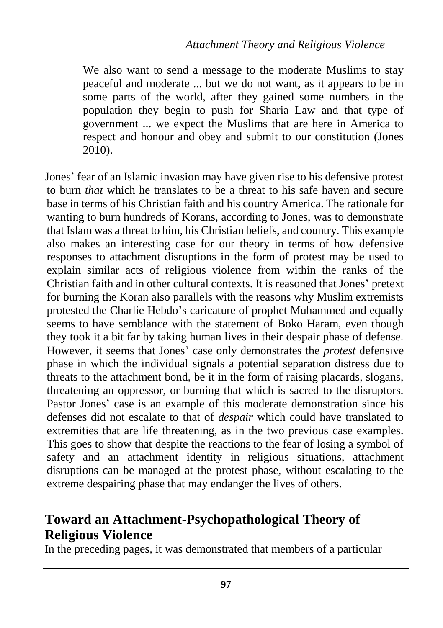We also want to send a message to the moderate Muslims to stay peaceful and moderate ... but we do not want, as it appears to be in some parts of the world, after they gained some numbers in the population they begin to push for Sharia Law and that type of government ... we expect the Muslims that are here in America to respect and honour and obey and submit to our constitution (Jones 2010).

Jones' fear of an Islamic invasion may have given rise to his defensive protest to burn *that* which he translates to be a threat to his safe haven and secure base in terms of his Christian faith and his country America. The rationale for wanting to burn hundreds of Korans, according to Jones, was to demonstrate that Islam was a threat to him, his Christian beliefs, and country. This example also makes an interesting case for our theory in terms of how defensive responses to attachment disruptions in the form of protest may be used to explain similar acts of religious violence from within the ranks of the Christian faith and in other cultural contexts. It is reasoned that Jones' pretext for burning the Koran also parallels with the reasons why Muslim extremists protested the Charlie Hebdo's caricature of prophet Muhammed and equally seems to have semblance with the statement of Boko Haram, even though they took it a bit far by taking human lives in their despair phase of defense. However, it seems that Jones' case only demonstrates the *protest* defensive phase in which the individual signals a potential separation distress due to threats to the attachment bond, be it in the form of raising placards, slogans, threatening an oppressor, or burning that which is sacred to the disruptors. Pastor Jones' case is an example of this moderate demonstration since his defenses did not escalate to that of *despair* which could have translated to extremities that are life threatening, as in the two previous case examples. This goes to show that despite the reactions to the fear of losing a symbol of safety and an attachment identity in religious situations, attachment disruptions can be managed at the protest phase, without escalating to the extreme despairing phase that may endanger the lives of others.

# **Toward an Attachment-Psychopathological Theory of Religious Violence**

In the preceding pages, it was demonstrated that members of a particular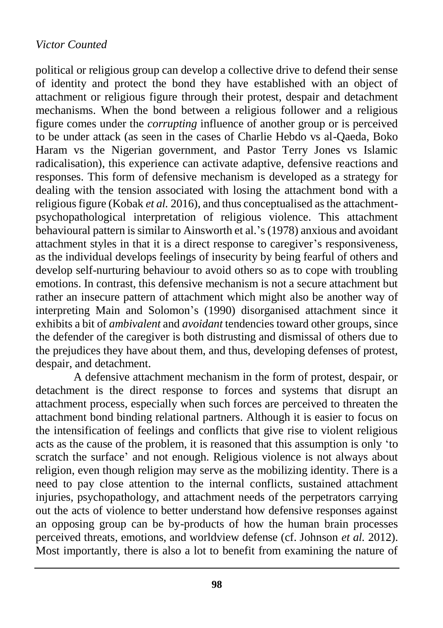political or religious group can develop a collective drive to defend their sense of identity and protect the bond they have established with an object of attachment or religious figure through their protest, despair and detachment mechanisms. When the bond between a religious follower and a religious figure comes under the *corrupting* influence of another group or is perceived to be under attack (as seen in the cases of Charlie Hebdo vs al-Qaeda, Boko Haram vs the Nigerian government, and Pastor Terry Jones vs Islamic radicalisation), this experience can activate adaptive, defensive reactions and responses. This form of defensive mechanism is developed as a strategy for dealing with the tension associated with losing the attachment bond with a religious figure (Kobak *et al.* 2016), and thus conceptualised as the attachmentpsychopathological interpretation of religious violence. This attachment behavioural pattern is similar to Ainsworth et al.'s (1978) anxious and avoidant attachment styles in that it is a direct response to caregiver's responsiveness, as the individual develops feelings of insecurity by being fearful of others and develop self-nurturing behaviour to avoid others so as to cope with troubling emotions. In contrast, this defensive mechanism is not a secure attachment but rather an insecure pattern of attachment which might also be another way of interpreting Main and Solomon's (1990) disorganised attachment since it exhibits a bit of *ambivalent* and *avoidant* tendencies toward other groups, since the defender of the caregiver is both distrusting and dismissal of others due to the prejudices they have about them, and thus, developing defenses of protest, despair, and detachment.

A defensive attachment mechanism in the form of protest, despair, or detachment is the direct response to forces and systems that disrupt an attachment process, especially when such forces are perceived to threaten the attachment bond binding relational partners. Although it is easier to focus on the intensification of feelings and conflicts that give rise to violent religious acts as the cause of the problem, it is reasoned that this assumption is only 'to scratch the surface' and not enough. Religious violence is not always about religion, even though religion may serve as the mobilizing identity. There is a need to pay close attention to the internal conflicts, sustained attachment injuries, psychopathology, and attachment needs of the perpetrators carrying out the acts of violence to better understand how defensive responses against an opposing group can be by-products of how the human brain processes perceived threats, emotions, and worldview defense (cf. Johnson *et al.* 2012). Most importantly, there is also a lot to benefit from examining the nature of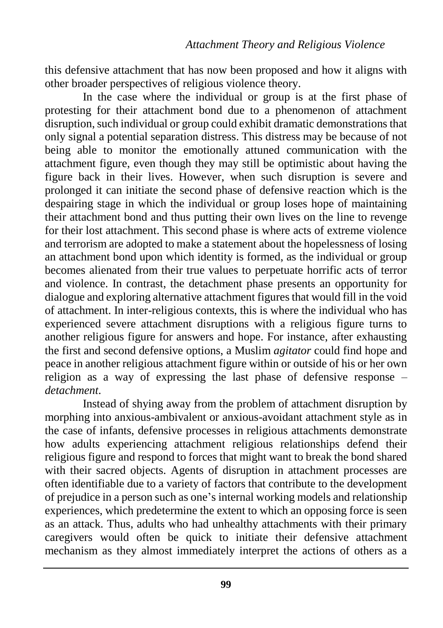this defensive attachment that has now been proposed and how it aligns with other broader perspectives of religious violence theory.

In the case where the individual or group is at the first phase of protesting for their attachment bond due to a phenomenon of attachment disruption, such individual or group could exhibit dramatic demonstrations that only signal a potential separation distress. This distress may be because of not being able to monitor the emotionally attuned communication with the attachment figure, even though they may still be optimistic about having the figure back in their lives. However, when such disruption is severe and prolonged it can initiate the second phase of defensive reaction which is the despairing stage in which the individual or group loses hope of maintaining their attachment bond and thus putting their own lives on the line to revenge for their lost attachment. This second phase is where acts of extreme violence and terrorism are adopted to make a statement about the hopelessness of losing an attachment bond upon which identity is formed, as the individual or group becomes alienated from their true values to perpetuate horrific acts of terror and violence. In contrast, the detachment phase presents an opportunity for dialogue and exploring alternative attachment figures that would fill in the void of attachment. In inter-religious contexts, this is where the individual who has experienced severe attachment disruptions with a religious figure turns to another religious figure for answers and hope. For instance, after exhausting the first and second defensive options, a Muslim *agitator* could find hope and peace in another religious attachment figure within or outside of his or her own religion as a way of expressing the last phase of defensive response – *detachment*.

Instead of shying away from the problem of attachment disruption by morphing into anxious-ambivalent or anxious-avoidant attachment style as in the case of infants, defensive processes in religious attachments demonstrate how adults experiencing attachment religious relationships defend their religious figure and respond to forces that might want to break the bond shared with their sacred objects. Agents of disruption in attachment processes are often identifiable due to a variety of factors that contribute to the development of prejudice in a person such as one's internal working models and relationship experiences, which predetermine the extent to which an opposing force is seen as an attack. Thus, adults who had unhealthy attachments with their primary caregivers would often be quick to initiate their defensive attachment mechanism as they almost immediately interpret the actions of others as a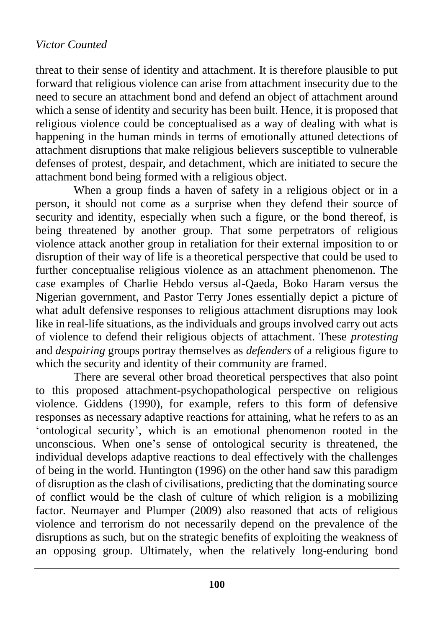threat to their sense of identity and attachment. It is therefore plausible to put forward that religious violence can arise from attachment insecurity due to the need to secure an attachment bond and defend an object of attachment around which a sense of identity and security has been built. Hence, it is proposed that religious violence could be conceptualised as a way of dealing with what is happening in the human minds in terms of emotionally attuned detections of attachment disruptions that make religious believers susceptible to vulnerable defenses of protest, despair, and detachment, which are initiated to secure the attachment bond being formed with a religious object.

When a group finds a haven of safety in a religious object or in a person, it should not come as a surprise when they defend their source of security and identity, especially when such a figure, or the bond thereof, is being threatened by another group. That some perpetrators of religious violence attack another group in retaliation for their external imposition to or disruption of their way of life is a theoretical perspective that could be used to further conceptualise religious violence as an attachment phenomenon. The case examples of Charlie Hebdo versus al-Qaeda, Boko Haram versus the Nigerian government, and Pastor Terry Jones essentially depict a picture of what adult defensive responses to religious attachment disruptions may look like in real-life situations, as the individuals and groups involved carry out acts of violence to defend their religious objects of attachment. These *protesting*  and *despairing* groups portray themselves as *defenders* of a religious figure to which the security and identity of their community are framed.

There are several other broad theoretical perspectives that also point to this proposed attachment-psychopathological perspective on religious violence. Giddens (1990), for example, refers to this form of defensive responses as necessary adaptive reactions for attaining, what he refers to as an 'ontological security', which is an emotional phenomenon rooted in the unconscious. When one's sense of ontological security is threatened, the individual develops adaptive reactions to deal effectively with the challenges of being in the world. Huntington (1996) on the other hand saw this paradigm of disruption as the clash of civilisations, predicting that the dominating source of conflict would be the clash of culture of which religion is a mobilizing factor. Neumayer and Plumper (2009) also reasoned that acts of religious violence and terrorism do not necessarily depend on the prevalence of the disruptions as such, but on the strategic benefits of exploiting the weakness of an opposing group. Ultimately, when the relatively long-enduring bond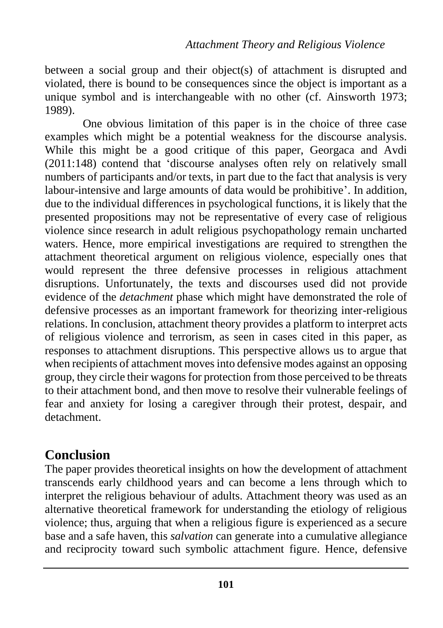between a social group and their object(s) of attachment is disrupted and violated, there is bound to be consequences since the object is important as a unique symbol and is interchangeable with no other (cf. Ainsworth 1973; 1989).

One obvious limitation of this paper is in the choice of three case examples which might be a potential weakness for the discourse analysis. While this might be a good critique of this paper, Georgaca and Avdi (2011:148) contend that 'discourse analyses often rely on relatively small numbers of participants and/or texts, in part due to the fact that analysis is very labour-intensive and large amounts of data would be prohibitive'. In addition, due to the individual differences in psychological functions, it is likely that the presented propositions may not be representative of every case of religious violence since research in adult religious psychopathology remain uncharted waters. Hence, more empirical investigations are required to strengthen the attachment theoretical argument on religious violence, especially ones that would represent the three defensive processes in religious attachment disruptions. Unfortunately, the texts and discourses used did not provide evidence of the *detachment* phase which might have demonstrated the role of defensive processes as an important framework for theorizing inter-religious relations. In conclusion, attachment theory provides a platform to interpret acts of religious violence and terrorism, as seen in cases cited in this paper, as responses to attachment disruptions. This perspective allows us to argue that when recipients of attachment moves into defensive modes against an opposing group, they circle their wagons for protection from those perceived to be threats to their attachment bond, and then move to resolve their vulnerable feelings of fear and anxiety for losing a caregiver through their protest, despair, and detachment.

# **Conclusion**

The paper provides theoretical insights on how the development of attachment transcends early childhood years and can become a lens through which to interpret the religious behaviour of adults. Attachment theory was used as an alternative theoretical framework for understanding the etiology of religious violence; thus, arguing that when a religious figure is experienced as a secure base and a safe haven, this *salvation* can generate into a cumulative allegiance and reciprocity toward such symbolic attachment figure. Hence, defensive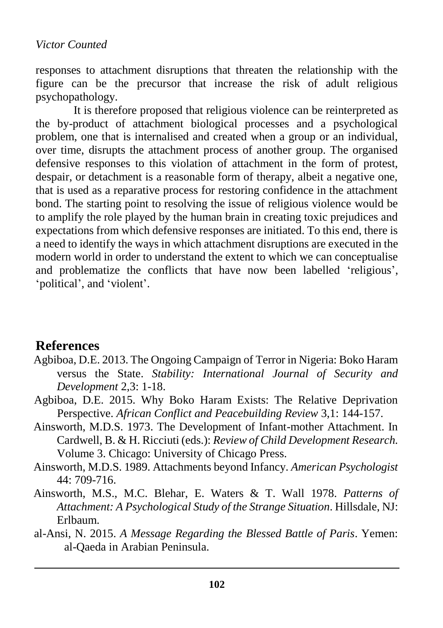responses to attachment disruptions that threaten the relationship with the figure can be the precursor that increase the risk of adult religious psychopathology.

It is therefore proposed that religious violence can be reinterpreted as the by-product of attachment biological processes and a psychological problem, one that is internalised and created when a group or an individual, over time, disrupts the attachment process of another group. The organised defensive responses to this violation of attachment in the form of protest, despair, or detachment is a reasonable form of therapy, albeit a negative one, that is used as a reparative process for restoring confidence in the attachment bond. The starting point to resolving the issue of religious violence would be to amplify the role played by the human brain in creating toxic prejudices and expectations from which defensive responses are initiated. To this end, there is a need to identify the ways in which attachment disruptions are executed in the modern world in order to understand the extent to which we can conceptualise and problematize the conflicts that have now been labelled 'religious', 'political', and 'violent'.

## **References**

- Agbiboa, D.E. 2013. The Ongoing Campaign of Terror in Nigeria: Boko Haram versus the State. *Stability: International Journal of Security and Development* 2,3: 1-18.
- Agbiboa, D.E. 2015. Why Boko Haram Exists: The Relative Deprivation Perspective. *African Conflict and Peacebuilding Review* 3,1: 144-157.
- Ainsworth, M.D.S. 1973. The Development of Infant-mother Attachment. In Cardwell, B. & H. Ricciuti (eds.): *Review of Child Development Research.* Volume 3. Chicago: University of Chicago Press.
- Ainsworth, M.D.S. 1989. Attachments beyond Infancy. *American Psychologist* 44: 709-716.
- Ainsworth, M.S., M.C. Blehar, E. Waters & T. Wall 1978. *Patterns of Attachment: A Psychological Study of the Strange Situation*. Hillsdale, NJ: Erlbaum.
- al-Ansi, N. 2015. *A Message Regarding the Blessed Battle of Paris*. Yemen: al-Qaeda in Arabian Peninsula.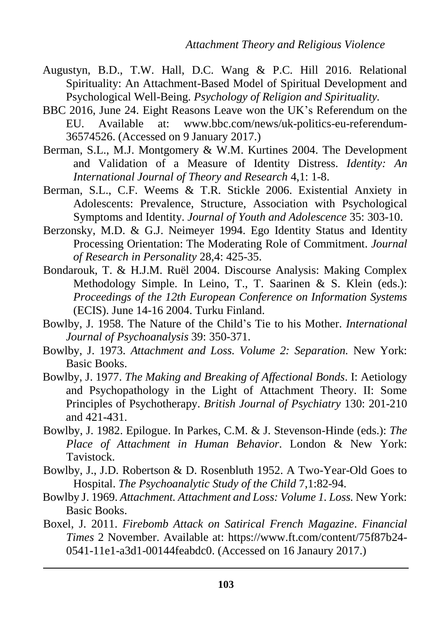- Augustyn, B.D., T.W. Hall, D.C. Wang & P.C. Hill 2016. Relational Spirituality: An Attachment-Based Model of Spiritual Development and Psychological Well-Being. *Psychology of Religion and Spirituality.*
- BBC 2016, June 24. Eight Reasons Leave won the UK's Referendum on the EU. Available at: www.bbc.com/news/uk-politics-eu-referendum-36574526. (Accessed on 9 January 2017.)
- Berman, S.L., M.J. Montgomery & W.M. Kurtines 2004. The Development and Validation of a Measure of Identity Distress. *Identity: An International Journal of Theory and Research* 4,1: 1-8.
- Berman, S.L., C.F. Weems & T.R. Stickle 2006. Existential Anxiety in Adolescents: Prevalence, Structure, Association with Psychological Symptoms and Identity. *Journal of Youth and Adolescence* 35: 303-10.
- Berzonsky, M.D. & G.J. Neimeyer 1994. Ego Identity Status and Identity Processing Orientation: The Moderating Role of Commitment. *Journal of Research in Personality* 28,4: 425-35.
- Bondarouk, T. & H.J.M. Ruël 2004. Discourse Analysis: Making Complex Methodology Simple. In Leino, T., T. Saarinen & S. Klein (eds.): *Proceedings of the 12th European Conference on Information Systems* (ECIS). June 14-16 2004. Turku Finland.
- Bowlby, J. 1958. The Nature of the Child's Tie to his Mother. *International Journal of Psychoanalysis* 39: 350-371.
- Bowlby, J. 1973. *Attachment and Loss. Volume 2: Separation.* New York: Basic Books.
- Bowlby, J. 1977. *The Making and Breaking of Affectional Bonds*. I: Aetiology and Psychopathology in the Light of Attachment Theory. II: Some Principles of Psychotherapy. *British Journal of Psychiatry* 130: 201-210 and 421-431.
- Bowlby, J. 1982. Epilogue. In Parkes, C.M. & J. Stevenson-Hinde (eds.): *The Place of Attachment in Human Behavior*. London & New York: Tavistock.
- Bowlby, J., J.D. Robertson & D. Rosenbluth 1952. A Two-Year-Old Goes to Hospital. *The Psychoanalytic Study of the Child* 7,1:82-94.
- Bowlby J. 1969. *Attachment. Attachment and Loss: Volume 1. Loss.* New York: Basic Books.
- Boxel, J. 2011. *Firebomb Attack on Satirical French Magazine*. *Financial Times* 2 November. Available at: [https://www.ft.com/content/75f87b24-](https://www.ft.com/content/75f87b24-0541-11e1-a3d1-00144feabdc0) [0541-11e1-a3d1-00144feabdc0.](https://www.ft.com/content/75f87b24-0541-11e1-a3d1-00144feabdc0) (Accessed on 16 Janaury 2017.)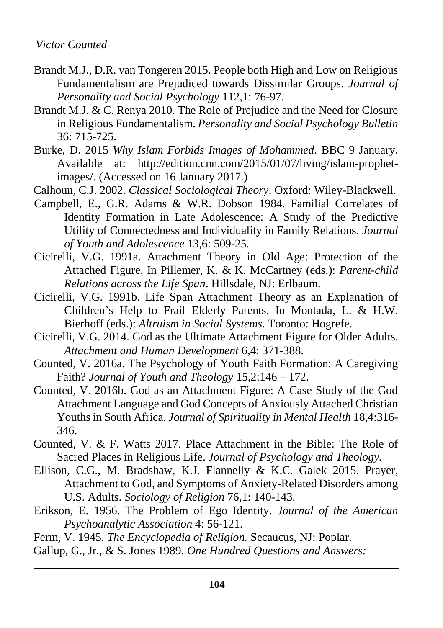- Brandt M.J., D.R. van Tongeren 2015. People both High and Low on Religious Fundamentalism are Prejudiced towards Dissimilar Groups. *Journal of Personality and Social Psychology* 112,1: 76-97.
- Brandt M.J. & C. Renya 2010. The Role of Prejudice and the Need for Closure in Religious Fundamentalism. *Personality and Social Psychology Bulletin* 36: 715-725.
- Burke, D. 2015 *Why Islam Forbids Images of Mohammed*. BBC 9 January. Available at: [http://edition.cnn.com/2015/01/07/living/islam-prophet](http://edition.cnn.com/2015/01/07/living/islam-prophet-images/)[images/.](http://edition.cnn.com/2015/01/07/living/islam-prophet-images/) (Accessed on 16 January 2017.)
- Calhoun, C.J. 2002. *Classical Sociological Theory*. Oxford: Wiley-Blackwell.
- Campbell, E., G.R. Adams & W.R. Dobson 1984. Familial Correlates of Identity Formation in Late Adolescence: A Study of the Predictive Utility of Connectedness and Individuality in Family Relations. *Journal of Youth and Adolescence* 13,6: 509-25.
- Cicirelli, V.G. 1991a. Attachment Theory in Old Age: Protection of the Attached Figure. In Pillemer, K. & K. McCartney (eds.): *Parent-child Relations across the Life Span*. Hillsdale, NJ: Erlbaum.
- Cicirelli, V.G. 1991b. Life Span Attachment Theory as an Explanation of Children's Help to Frail Elderly Parents. In Montada, L. & H.W. Bierhoff (eds.): *Altruism in Social Systems*. Toronto: Hogrefe.
- Cicirelli, V.G. 2014. God as the Ultimate Attachment Figure for Older Adults. *Attachment and Human Development* 6,4: 371-388.
- Counted, V. 2016a. The Psychology of Youth Faith Formation: A Caregiving Faith? *Journal of Youth and Theology* 15,2:146 – 172.
- Counted, V. 2016b. God as an Attachment Figure: A Case Study of the God Attachment Language and God Concepts of Anxiously Attached Christian Youths in South Africa. *Journal of Spirituality in Mental Health* 18,4:316- 346.
- Counted, V. & F. Watts 2017. Place Attachment in the Bible: The Role of Sacred Places in Religious Life. *Journal of Psychology and Theology.*
- Ellison, C.G., M. Bradshaw, K.J. Flannelly & K.C. Galek 2015. Prayer, Attachment to God, and Symptoms of Anxiety-Related Disorders among U.S. Adults. *Sociology of Religion* 76,1: 140-143.
- Erikson, E. 1956. The Problem of Ego Identity. *Journal of the American Psychoanalytic Association* 4: 56-121.

Ferm, V. 1945. *The Encyclopedia of Religion.* Secaucus, NJ: Poplar.

Gallup, G., Jr., & S. Jones 1989. *One Hundred Questions and Answers:*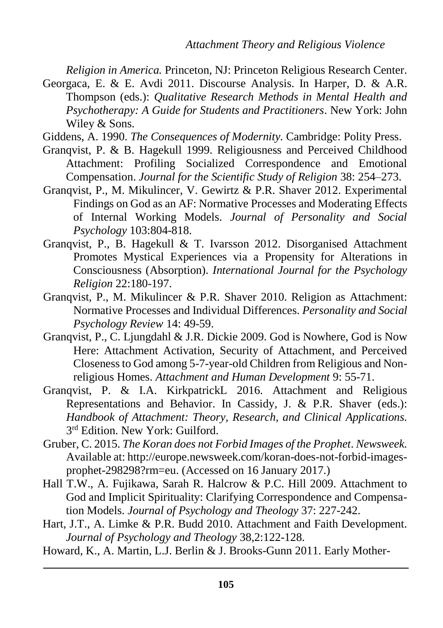*Religion in America.* Princeton, NJ: Princeton Religious Research Center.

- Georgaca, E. & E. Avdi 2011. Discourse Analysis. In Harper, D. & A.R. Thompson (eds.): *Qualitative Research Methods in Mental Health and Psychotherapy: A Guide for Students and Practitioners*. New York: John Wiley & Sons.
- Giddens, A. 1990. *The Consequences of Modernity.* Cambridge: Polity Press.
- Granqvist, P. & B. Hagekull 1999. Religiousness and Perceived Childhood Attachment: Profiling Socialized Correspondence and Emotional Compensation. *Journal for the Scientific Study of Religion* 38: 254–273.
- Granqvist, P., M. Mikulincer, V. Gewirtz & P.R. Shaver 2012. Experimental Findings on God as an AF: Normative Processes and Moderating Effects of Internal Working Models. *Journal of Personality and Social Psychology* 103:804-818.
- Granqvist, P., B. Hagekull & T. Ivarsson 2012. Disorganised Attachment Promotes Mystical Experiences via a Propensity for Alterations in Consciousness (Absorption). *International Journal for the Psychology Religion* 22:180-197.
- Granqvist, P., M. Mikulincer & P.R. Shaver 2010. Religion as Attachment: Normative Processes and Individual Differences. *Personality and Social Psychology Review* 14: 49-59.
- Granqvist, P., C. Ljungdahl & J.R. Dickie 2009. God is Nowhere, God is Now Here: Attachment Activation, Security of Attachment, and Perceived Closeness to God among 5-7-year-old Children from Religious and Nonreligious Homes. *Attachment and Human Development* 9: 55-71.
- Granqvist, P. & I.A. KirkpatrickL 2016. Attachment and Religious Representations and Behavior. In Cassidy, J. & P.R. Shaver (eds.): *Handbook of Attachment: Theory, Research, and Clinical Applications.* 3rd Edition. New York: Guilford.
- Gruber, C. 2015. *The Koran does not Forbid Images of the Prophet*. *Newsweek.* Available at: http://europe.newsweek.com/koran-does-not-forbid-imagesprophet-298298?rm=eu. (Accessed on 16 January 2017.)
- Hall T.W., A. Fujikawa, Sarah R. Halcrow & P.C. Hill 2009. Attachment to God and Implicit Spirituality: Clarifying Correspondence and Compensation Models. *Journal of Psychology and Theology* 37: 227-242.
- Hart, J.T., A. Limke & P.R. Budd 2010. Attachment and Faith Development. *Journal of Psychology and Theology* 38,2:122-128.
- Howard, K., A. Martin, L.J. Berlin & J. Brooks-Gunn 2011. Early Mother-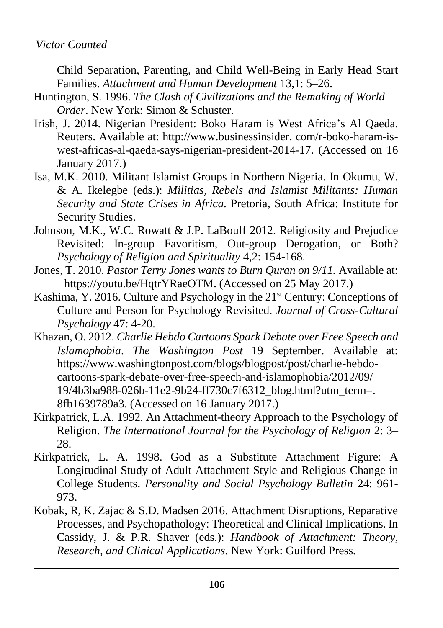Child Separation, Parenting, and Child Well-Being in Early Head Start Families. *Attachment and Human Development* 13,1: 5–26.

- Huntington, S. 1996. *The Clash of Civilizations and the Remaking of World Order*. New York: Simon & Schuster.
- Irish, J. 2014. Nigerian President: Boko Haram is West Africa's Al Qaeda. Reuters. Available at: http://www.businessinsider. com/r-boko-haram-iswest-africas-al-qaeda-says-nigerian-president-2014-17. (Accessed on 16 January 2017.)
- Isa, M.K. 2010. Militant Islamist Groups in Northern Nigeria. In Okumu, W. & A. Ikelegbe (eds.): *Militias, Rebels and Islamist Militants: Human Security and State Crises in Africa.* Pretoria, South Africa: Institute for Security Studies.
- Johnson, M.K., W.C. Rowatt & J.P. LaBouff 2012. Religiosity and Prejudice Revisited: In-group Favoritism, Out-group Derogation, or Both? *Psychology of Religion and Spirituality* 4,2: 154-168.
- Jones, T. 2010. *Pastor Terry Jones wants to Burn Quran on 9/11.* Available at: [https://youtu.be/HqtrYRaeOTM.](https://youtu.be/HqtrYRaeOTM) (Accessed on 25 May 2017.)
- Kashima, Y. 2016. Culture and Psychology in the 21<sup>st</sup> Century: Conceptions of Culture and Person for Psychology Revisited. *Journal of Cross-Cultural Psychology* 47: 4-20.
- Khazan, O. 2012. *Charlie Hebdo Cartoons Spark Debate over Free Speech and Islamophobia*. *The Washington Post* 19 September. Available at: [https://www.washingtonpost.com/blogs/blogpost/post/charlie-hebdo](https://www.washingtonpost.com/blogs/blogpost/post/charlie-hebdo-cartoons-spark-debate-over-free-speech-and-islamophobia/2012/09/)[cartoons-spark-debate-over-free-speech-and-islamophobia/2012/09/](https://www.washingtonpost.com/blogs/blogpost/post/charlie-hebdo-cartoons-spark-debate-over-free-speech-and-islamophobia/2012/09/) 19/4b3ba988-026b-11e2-9b24-ff730c7f6312\_blog.html?utm\_term=. 8fb1639789a3. (Accessed on 16 January 2017.)
- Kirkpatrick, L.A. 1992. An Attachment-theory Approach to the Psychology of Religion. *The International Journal for the Psychology of Religion* 2: 3– 28.
- Kirkpatrick, L. A. 1998. God as a Substitute Attachment Figure: A Longitudinal Study of Adult Attachment Style and Religious Change in College Students. *Personality and Social Psychology Bulletin* 24: 961- 973.
- Kobak, R, K. Zajac & S.D. Madsen 2016. Attachment Disruptions, Reparative Processes, and Psychopathology: Theoretical and Clinical Implications. In Cassidy, J. & P.R. Shaver (eds.): *Handbook of Attachment: Theory, Research, and Clinical Applications.* New York: Guilford Press*.*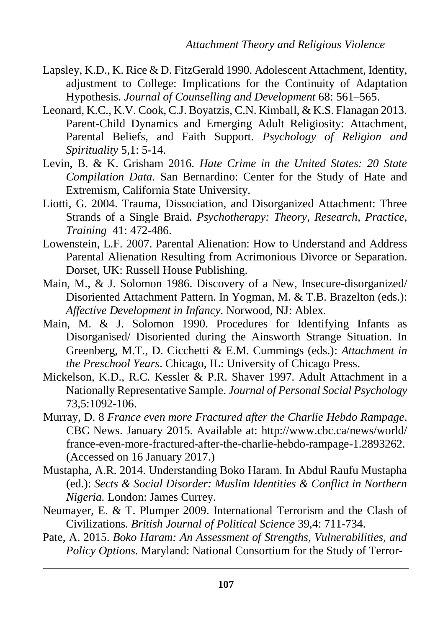- Lapsley, K.D., K. Rice & D. FitzGerald 1990. Adolescent Attachment, Identity, adjustment to College: Implications for the Continuity of Adaptation Hypothesis. *Journal of Counselling and Development* 68: 561–565.
- Leonard, K.C., K.V. Cook, C.J. Boyatzis, C.N. Kimball, & K.S. Flanagan 2013. Parent-Child Dynamics and Emerging Adult Religiosity: Attachment, Parental Beliefs, and Faith Support. *Psychology of Religion and Spirituality* 5,1: 5-14.
- Levin, B. & K. Grisham 2016. *Hate Crime in the United States: 20 State Compilation Data.* San Bernardino: Center for the Study of Hate and Extremism, California State University.
- Liotti, G. 2004. Trauma, Dissociation, and Disorganized Attachment: Three Strands of a Single Braid. *Psychotherapy: Theory, Research, Practice, Training* 41: 472-486.
- Lowenstein, L.F. 2007. Parental Alienation: How to Understand and Address Parental Alienation Resulting from Acrimonious Divorce or Separation. Dorset, UK: Russell House Publishing.
- Main, M., & J. Solomon 1986. Discovery of a New, Insecure-disorganized/ Disoriented Attachment Pattern. In Yogman, M. & T.B. Brazelton (eds.): *Affective Development in Infancy*. Norwood, NJ: Ablex.
- Main, M. & J. Solomon 1990. Procedures for Identifying Infants as Disorganised/ Disoriented during the Ainsworth Strange Situation. In Greenberg, M.T., D. Cicchetti & E.M. Cummings (eds.): *Attachment in the Preschool Years*. Chicago, IL: University of Chicago Press.
- Mickelson, K.D., R.C. Kessler & P.R. Shaver 1997. Adult Attachment in a Nationally Representative Sample. *Journal of Personal Social Psychology* 73,5:1092-106.
- Murray, D. 8 *France even more Fractured after the Charlie Hebdo Rampage*. CBC News. January 2015. Available at: [http://www.cbc.ca/news/world/](http://www.cbc.ca/news/world/%20france-even-more-fractured-after-the-charlie-hebdo-rampage-1.2893262)  [france-even-more-fractured-after-the-charlie-hebdo-rampage-1.2893262.](http://www.cbc.ca/news/world/%20france-even-more-fractured-after-the-charlie-hebdo-rampage-1.2893262) (Accessed on 16 January 2017.)
- Mustapha, A.R. 2014. Understanding Boko Haram. In Abdul Raufu Mustapha (ed.): *Sects & Social Disorder: Muslim Identities & Conflict in Northern Nigeria.* London: James Currey.
- Neumayer, E. & T. Plumper 2009. International Terrorism and the Clash of Civilizations. *British Journal of Political Science* 39,4: 711-734.
- Pate, A. 2015. *Boko Haram: An Assessment of Strengths, Vulnerabilities, and Policy Options.* Maryland: National Consortium for the Study of Terror-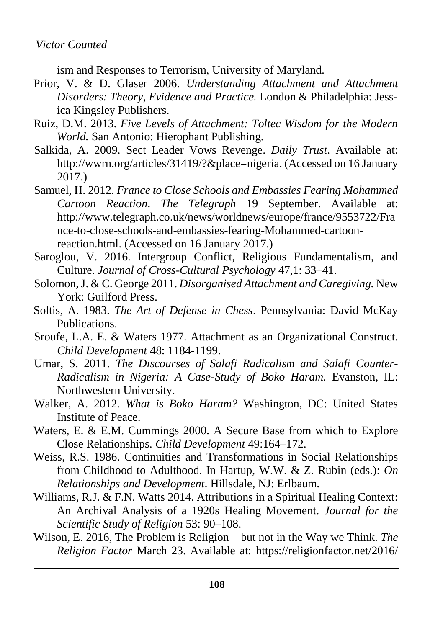ism and Responses to Terrorism, University of Maryland.

- Prior, V. & D. Glaser 2006. *Understanding Attachment and Attachment Disorders: Theory, Evidence and Practice.* London & Philadelphia: Jessica Kingsley Publishers.
- Ruiz, D.M. 2013. *Five Levels of Attachment: Toltec Wisdom for the Modern World.* San Antonio: Hierophant Publishing.
- Salkida, A. 2009. Sect Leader Vows Revenge. *Daily Trust*. Available at: [http://wwrn.org/articles/31419/?&place=nigeria.](http://wwrn.org/articles/31419/?&place=nigeria) (Accessed on 16 January 2017.)
- Samuel, H. 2012. *France to Close Schools and Embassies Fearing Mohammed Cartoon Reaction*. *The Telegraph* 19 September. Available at: [http://www.telegraph.co.uk/news/worldnews/europe/france/9553722/Fra](http://www.telegraph.co.uk/news/worldnews/europe/france/9553722/France-to-close-schools-and-embassies-fearing-Mohammed-cartoon-reaction.html) [nce-to-close-schools-and-embassies-fearing-Mohammed-cartoon](http://www.telegraph.co.uk/news/worldnews/europe/france/9553722/France-to-close-schools-and-embassies-fearing-Mohammed-cartoon-reaction.html)[reaction.html.](http://www.telegraph.co.uk/news/worldnews/europe/france/9553722/France-to-close-schools-and-embassies-fearing-Mohammed-cartoon-reaction.html) (Accessed on 16 January 2017.)
- Saroglou, V. 2016. Intergroup Conflict, Religious Fundamentalism, and Culture. *Journal of Cross-Cultural Psychology* 47,1: 33–41.
- Solomon, J. & C. George 2011. *Disorganised Attachment and Caregiving.* New York: Guilford Press.
- Soltis, A. 1983. *The Art of Defense in Chess*. Pennsylvania: David McKay Publications.
- Sroufe, L.A. E. & Waters 1977. Attachment as an Organizational Construct. *Child Development* 48: 1184-1199.
- Umar, S. 2011. *The Discourses of Salafi Radicalism and Salafi Counter-Radicalism in Nigeria: A Case-Study of Boko Haram.* Evanston, IL: Northwestern University.
- Walker, A. 2012. *What is Boko Haram?* Washington, DC: United States Institute of Peace.
- Waters, E. & E.M. Cummings 2000. A Secure Base from which to Explore Close Relationships. *Child Development* 49:164–172.
- Weiss, R.S. 1986. Continuities and Transformations in Social Relationships from Childhood to Adulthood. In Hartup, W.W. & Z. Rubin (eds.): *On Relationships and Development*. Hillsdale, NJ: Erlbaum.
- Williams, R.J. & F.N. Watts 2014. Attributions in a Spiritual Healing Context: An Archival Analysis of a 1920s Healing Movement. *Journal for the Scientific Study of Religion* 53: 90–108.
- Wilson, E. 2016, The Problem is Religion but not in the Way we Think. *The Religion Factor* March 23. Available at:<https://religionfactor.net/2016/>